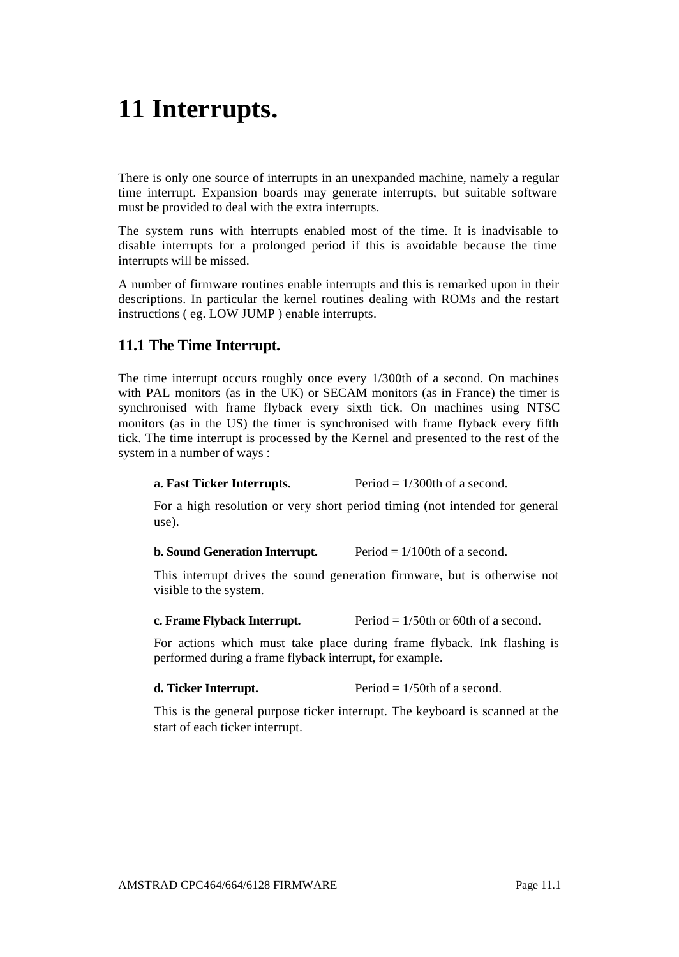# **11 Interrupts.**

There is only one source of interrupts in an unexpanded machine, namely a regular time interrupt. Expansion boards may generate interrupts, but suitable software must be provided to deal with the extra interrupts.

The system runs with interrupts enabled most of the time. It is inadvisable to disable interrupts for a prolonged period if this is avoidable because the time interrupts will be missed.

A number of firmware routines enable interrupts and this is remarked upon in their descriptions. In particular the kernel routines dealing with ROMs and the restart instructions ( eg. LOW JUMP ) enable interrupts.

# **11.1 The Time Interrupt.**

The time interrupt occurs roughly once every 1/300th of a second. On machines with PAL monitors (as in the UK) or SECAM monitors (as in France) the timer is synchronised with frame flyback every sixth tick. On machines using NTSC monitors (as in the US) the timer is synchronised with frame flyback every fifth tick. The time interrupt is processed by the Kernel and presented to the rest of the system in a number of ways :

### **a. Fast Ticker Interrupts.** Period = 1/300th of a second.

For a high resolution or very short period timing (not intended for general use).

#### **b. Sound Generation Interrupt.** Period  $\equiv 1/100$ th of a second.

This interrupt drives the sound generation firmware, but is otherwise not visible to the system.

**c. Frame Flyback Interrupt.** Period  $= 1/50$ th or 60th of a second.

For actions which must take place during frame flyback. Ink flashing is performed during a frame flyback interrupt, for example.

**d. Ticker Interrupt.** Period = 1/50th of a second.

This is the general purpose ticker interrupt. The keyboard is scanned at the start of each ticker interrupt.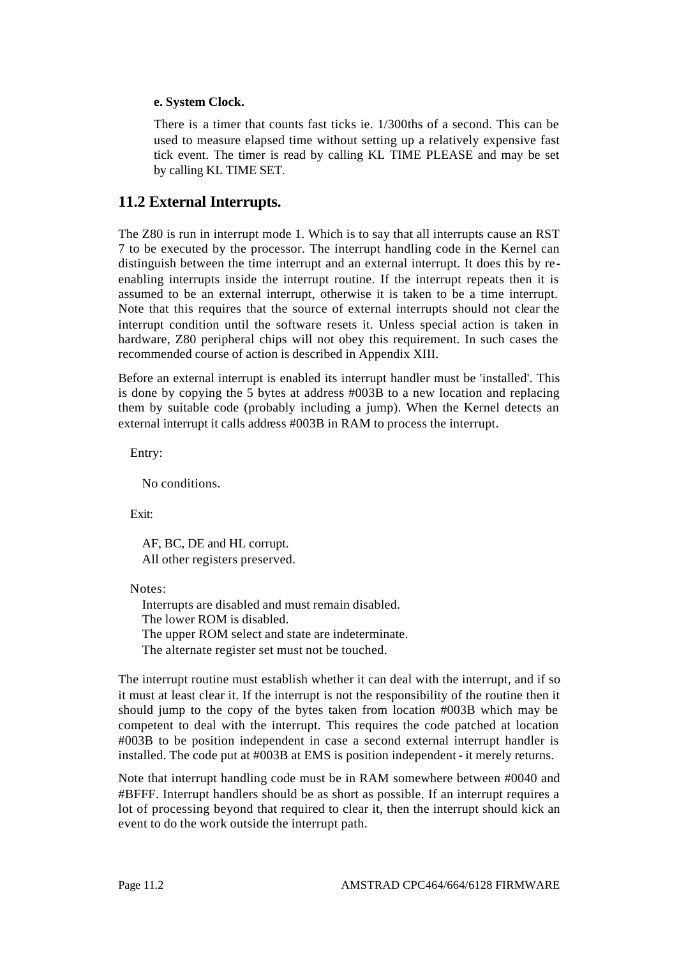# **e. System Clock.**

There is a timer that counts fast ticks ie. 1/300ths of a second. This can be used to measure elapsed time without setting up a relatively expensive fast tick event. The timer is read by calling KL TIME PLEASE and may be set by calling KL TIME SET.

# **11.2 External Interrupts.**

The Z80 is run in interrupt mode 1. Which is to say that all interrupts cause an RST 7 to be executed by the processor. The interrupt handling code in the Kernel can distinguish between the time interrupt and an external interrupt. It does this by reenabling interrupts inside the interrupt routine. If the interrupt repeats then it is assumed to be an external interrupt, otherwise it is taken to be a time interrupt. Note that this requires that the source of external interrupts should not clear the interrupt condition until the software resets it. Unless special action is taken in hardware, Z80 peripheral chips will not obey this requirement. In such cases the recommended course of action is described in Appendix XIII.

Before an external interrupt is enabled its interrupt handler must be 'installed'. This is done by copying the 5 bytes at address #003B to a new location and replacing them by suitable code (probably including a jump). When the Kernel detects an external interrupt it calls address #003B in RAM to process the interrupt.

Entry:

No conditions.

Exit:

AF, BC, DE and HL corrupt. All other registers preserved.

Notes:

Interrupts are disabled and must remain disabled. The lower ROM is disabled. The upper ROM select and state are indeterminate. The alternate register set must not be touched.

The interrupt routine must establish whether it can deal with the interrupt, and if so it must at least clear it. If the interrupt is not the responsibility of the routine then it should jump to the copy of the bytes taken from location #003B which may be competent to deal with the interrupt. This requires the code patched at location #003B to be position independent in case a second external interrupt handler is installed. The code put at #003B at EMS is position independent - it merely returns.

Note that interrupt handling code must be in RAM somewhere between #0040 and #BFFF. Interrupt handlers should be as short as possible. If an interrupt requires a lot of processing beyond that required to clear it, then the interrupt should kick an event to do the work outside the interrupt path.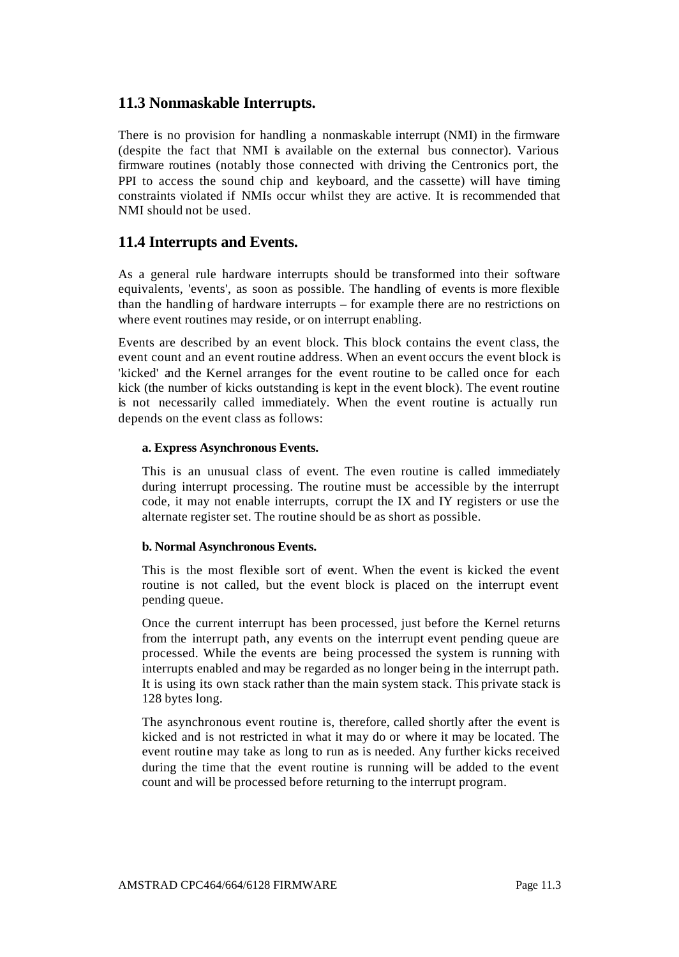# **11.3 Nonmaskable Interrupts.**

There is no provision for handling a nonmaskable interrupt (NMI) in the firmware (despite the fact that NMI is available on the external bus connector). Various firmware routines (notably those connected with driving the Centronics port, the PPI to access the sound chip and keyboard, and the cassette) will have timing constraints violated if NMIs occur whilst they are active. It is recommended that NMI should not be used.

# **11.4 Interrupts and Events.**

As a general rule hardware interrupts should be transformed into their software equivalents, 'events', as soon as possible. The handling of events is more flexible than the handling of hardware interrupts – for example there are no restrictions on where event routines may reside, or on interrupt enabling.

Events are described by an event block. This block contains the event class, the event count and an event routine address. When an event occurs the event block is 'kicked' and the Kernel arranges for the event routine to be called once for each kick (the number of kicks outstanding is kept in the event block). The event routine is not necessarily called immediately. When the event routine is actually run depends on the event class as follows:

# **a. Express Asynchronous Events.**

This is an unusual class of event. The even routine is called immediately during interrupt processing. The routine must be accessible by the interrupt code, it may not enable interrupts, corrupt the IX and IY registers or use the alternate register set. The routine should be as short as possible.

#### **b. Normal Asynchronous Events.**

This is the most flexible sort of event. When the event is kicked the event routine is not called, but the event block is placed on the interrupt event pending queue.

Once the current interrupt has been processed, just before the Kernel returns from the interrupt path, any events on the interrupt event pending queue are processed. While the events are being processed the system is running with interrupts enabled and may be regarded as no longer being in the interrupt path. It is using its own stack rather than the main system stack. This private stack is 128 bytes long.

The asynchronous event routine is, therefore, called shortly after the event is kicked and is not restricted in what it may do or where it may be located. The event routine may take as long to run as is needed. Any further kicks received during the time that the event routine is running will be added to the event count and will be processed before returning to the interrupt program.